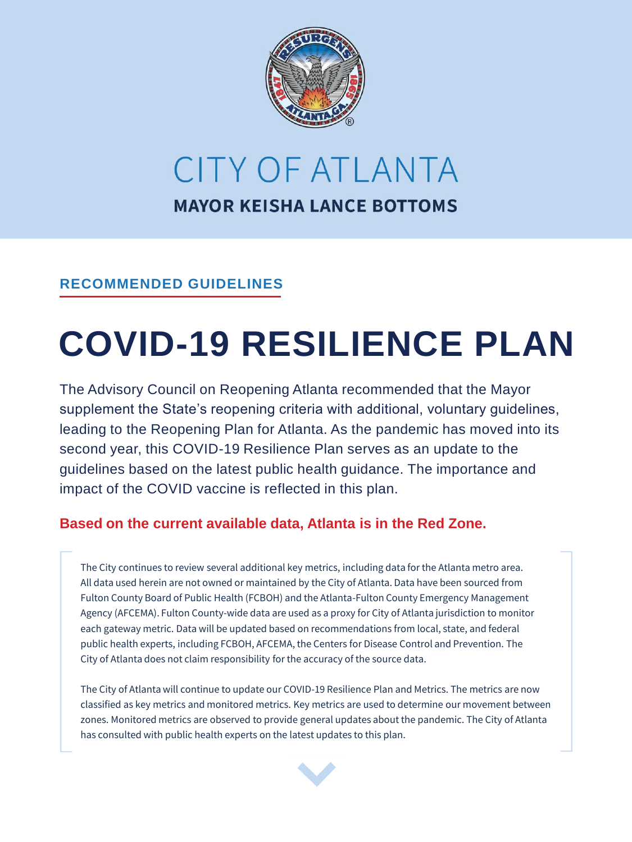

# CITY OF ATLANTA **MAYOR KEISHA LANCE BOTTOMS**

#### **RECOMMENDED GUIDELINES**

# **COVID-19 RESILIENCE PLAN**

The Advisory Council on Reopening Atlanta recommended that the Mayor supplement the State's reopening criteria with additional, voluntary guidelines, leading to the Reopening Plan for Atlanta. As the pandemic has moved into its second year, this COVID-19 Resilience Plan serves as an update to the guidelines based on the latest public health guidance. The importance and impact of the COVID vaccine is reflected in this plan.

#### **Based on the current available data, Atlanta is in the Red Zone.**

The City continues to review several additional key metrics, including data for the Atlanta metro area. All data used herein are not owned or maintained by the City of Atlanta. Data have been sourced from Fulton County Board of Public Health (FCBOH) and the Atlanta-Fulton County Emergency Management Agency (AFCEMA). Fulton County-wide data are used as a proxy for City of Atlanta jurisdiction to monitor each gateway metric. Data will be updated based on recommendations from local, state, and federal public health experts, including FCBOH, AFCEMA, the Centers for Disease Control and Prevention. The City of Atlanta does not claim responsibility for the accuracy of the source data.

The City of Atlanta will continue to update our COVID-19 Resilience Plan and Metrics. The metrics are now classified as key metrics and monitored metrics. Key metrics are used to determine our movement between zones. Monitored metrics are observed to provide general updates about the pandemic. The City of Atlanta has consulted with public health experts on the latest updates to this plan.

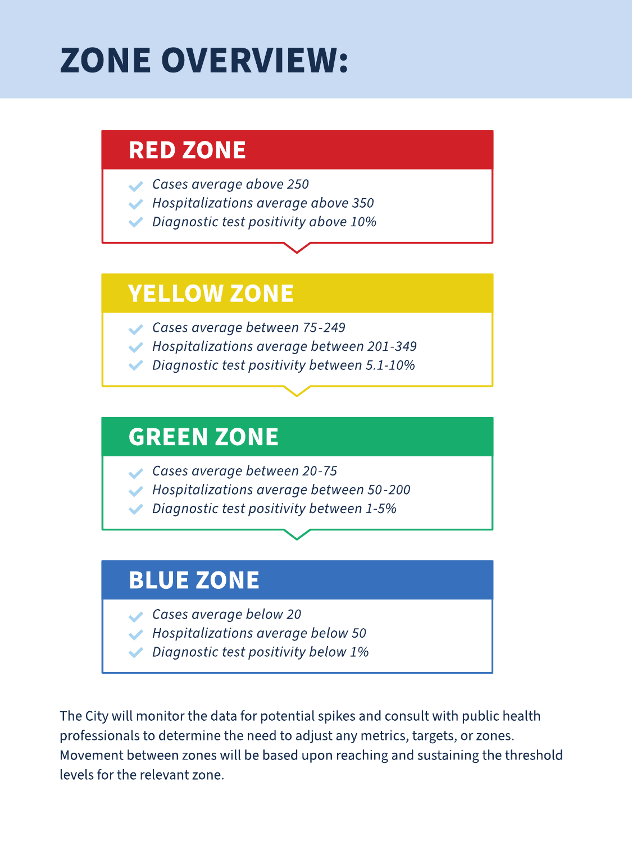# **ZONE OVERVIEW:**

## **RED ZONE**

- Cases average above 250
- Hospitalizations average above 350
- Diagnostic test positivity above 10%

## **YELLOW ZONE**

- Cases average between 75-249
	- Hospitalizations average between 201-349
	- Diagnostic test positivity between 5.1-10%

## **GREEN ZONE**

- Cases average between 20-75
	- Hospitalizations average between 50-200
	- Diagnostic test positivity between 1-5%

## **BLUE ZONE**

- Cases average below 20
- Hospitalizations average below 50
	- Diagnostic test positivity below 1%

The City will monitor the data for potential spikes and consult with public health professionals to determine the need to adjust any metrics, targets, or zones. Movement between zones will be based upon reaching and sustaining the threshold levels for the relevant zone.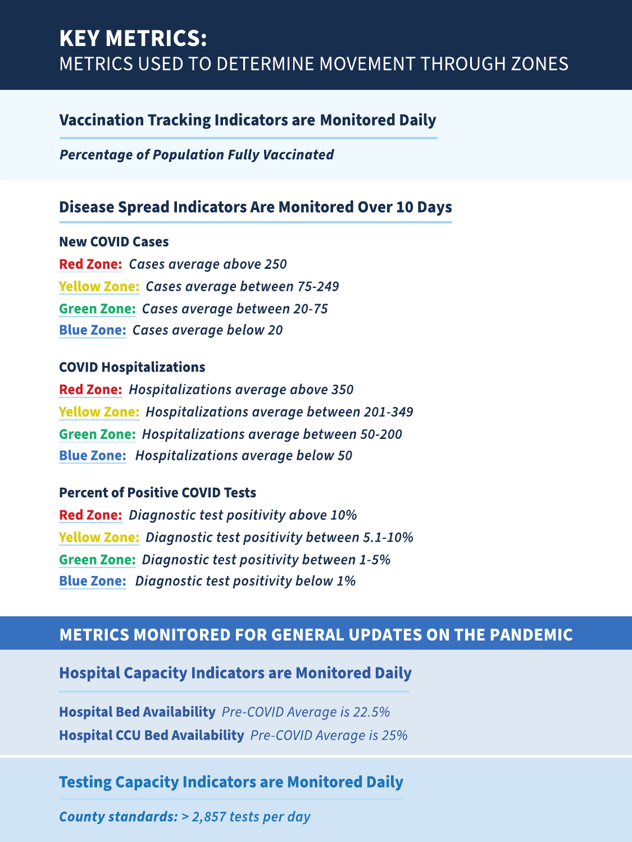### **KEY METRICS: METRICS USED TO DETERMINE MOVEMENT THROUGH ZONES**

#### **Vaccination Tracking Indicators are Monitored Daily**

**Percentage of Population Fully Vaccinated** 

#### **Disease Spread Indicators Are Monitored Over 10 Days**

**New COVID Cases Red Zone:** Cases average above 250 **Yellow Zone: Cases average between 75-249 Green Zone: Cases average between 20-75 Blue Zone: Cases average below 20** 

#### **COVID Hospitalizations**

**Red Zone: Hospitalizations average above 350 Yellow Zone: Hospitalizations average between 201-349 Green Zone: Hospitalizations average between 50-200 Blue Zone: Hospitalizations average below 50** 

#### **Percent of Positive COVID Tests**

Red Zone: Diagnostic test positivity above 10% **Yellow Zone: Diagnostic test positivity between 5.1-10% Green Zone: Diagnostic test positivity between 1-5% Blue Zone: Diagnostic test positivity below 1%** 

#### **METRICS MONITORED FOR GENERAL UPDATES ON THE PANDEMIC**

#### **Hospital Capacity Indicators are Monitored Daily**

Hospital Bed Availability Pre-COVID Average is 22.5% Hospital CCU Bed Availability Pre-COVID Average is 25%

#### **Testing Capacity Indicators are Monitored Daily**

County standards: > 2,857 tests per day